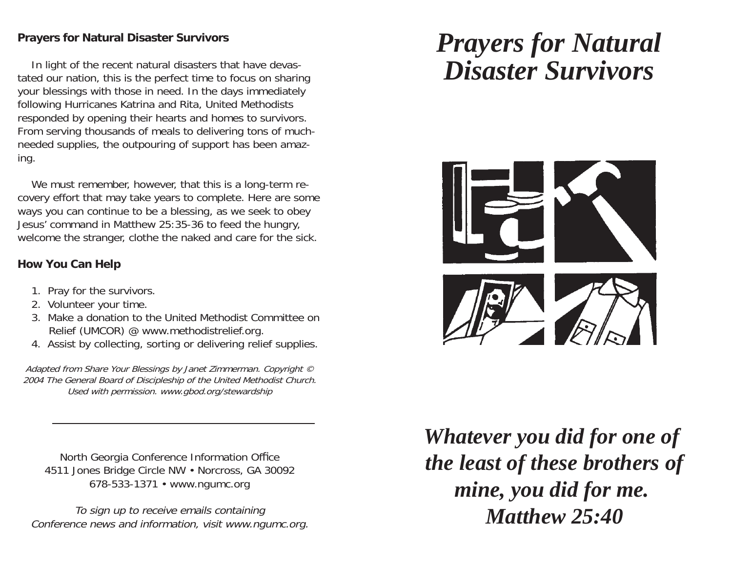## **Prayers for Natural Disaster Survivors**

 In light of the recent natural disasters that have devastated our nation, this is the perfect time to focus on sharing your blessings with those in need. In the days immediately following Hurricanes Katrina and Rita, United Methodists responded by opening their hearts and homes to survivors. From serving thousands of meals to delivering tons of muchneeded supplies, the outpouring of support has been amazing.

 We must remember, however, that this is a long-term recovery effort that may take years to complete. Here are some ways you can continue to be a blessing, as we seek to obey Jesus' command in Matthew 25:35-36 to feed the hungry, welcome the stranger, clothe the naked and care for the sick.

## **How You Can Help**

- 1. Pray for the survivors.
- 2. Volunteer your time.
- 3. Make a donation to the United Methodist Committee onRelief (UMCOR) @ www.methodistrelief.org.
- 4. Assist by collecting, sorting or delivering relief supplies.

Adapted from Share Your Blessings by Janet Zimmerman. Copyright © 2004 The General Board of Discipleship of the United Methodist Church. Used with permission. www.gbod.org/stewardship

North Georgia Conference Information Office 4511 Jones Bridge Circle NW • Norcross, GA 30092 678-533-1371 • www.ngumc.org

To sign up to receive emails containing Conference news and information, visit www.ngumc.org.

## *Prayers for Natural Disaster Survivors*



*Whatever you did for one of the least of these brothers of mine, you did for me. Matthew 25:40*